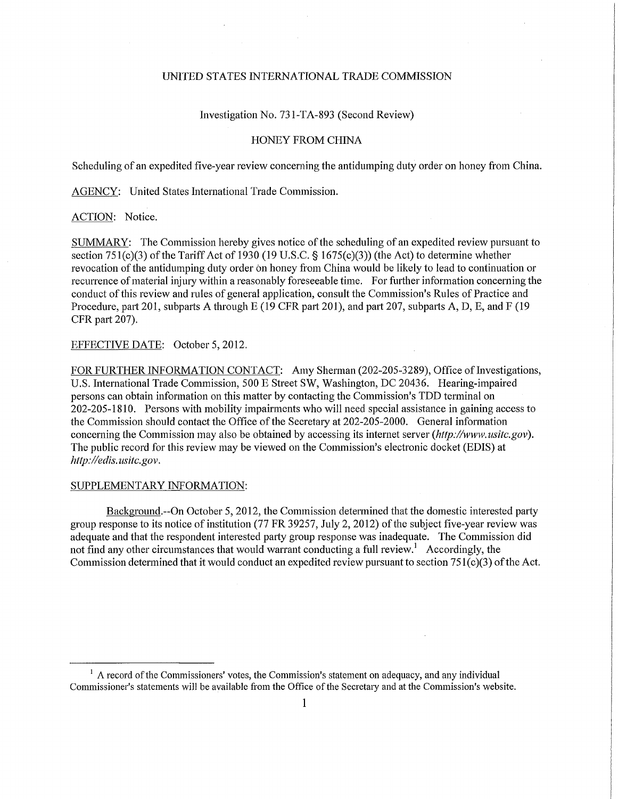## UNITED STATES INTERNATIONAL TRADE COMMISSION

Investigation No. 73 l-TA-893 (Second Review)

## HONEY FROM CHINA

Scheduling of an expedited five-year review concerning the antidumping duty order on honey from China.

AGENCY: United States International Trade Commission.

ACTION: Notice.

SUMMARY: The Commission hereby gives notice of the scheduling of an expedited review pursuant to section 751(c)(3) of the Tariff Act of 1930 (19 U.S.C.  $\S$  1675(c)(3)) (the Act) to determine whether revocation of the antidumping duty order on honey from China would be likely to lead to continuation or recurrence of material injury within a reasonably foreseeable time. For further infonnation concerning the conduct of this review and rules of general application, consult the Commission's Rules of Practice and Procedure, part 201, subparts A through E (19 CFR part 201), and part 207, subparts A, D, E, and F (19 CFR part 207).

## EFFECTIVE DATE: October 5,2012.

FOR FURTHER INFORMATION CONTACT: Amy Sherman (202-205-3289), Office of Investigations, U.S. International Trade Commission, 500 E Street SW, Washington, DC 20436. Hearing-impaired persons can obtain information on this matter by contacting the Commission's TDD terminal on 202-205-1810. Persons with mobility impairments who will need special assistance in gaining access to the Commission should contact the Office of the Secretary at 202-205-2000. General information concerning the Commission may also be obtained by accessing its internet server *(http://www.usitc.gov)*. The public record for this review may be viewed on the Commission's electronic docket (EDIS) at *http://edis. usitc.gov.* 

## SUPPLEMENTARY INFORMATION:

Background.—On October 5,2012, the Commission determined that the domestic interested party group response to its notice of institution (77 FR 39257, July 2, 2012) of the subject five-year review was adequate and that the respondent interested party group response was inadequate. The Commission did not find any other circumstances that would warrant conducting a full review.<sup>1</sup> Accordingly, the Commission determined that it would conduct an expedited review pursuant to section  $751(c)(3)$  of the Act.

<sup>&</sup>lt;sup>1</sup> A record of the Commissioners' votes, the Commission's statement on adequacy, and any individual Commissioner's statements will be available from the Office of the Secretary and at the Commission's website.